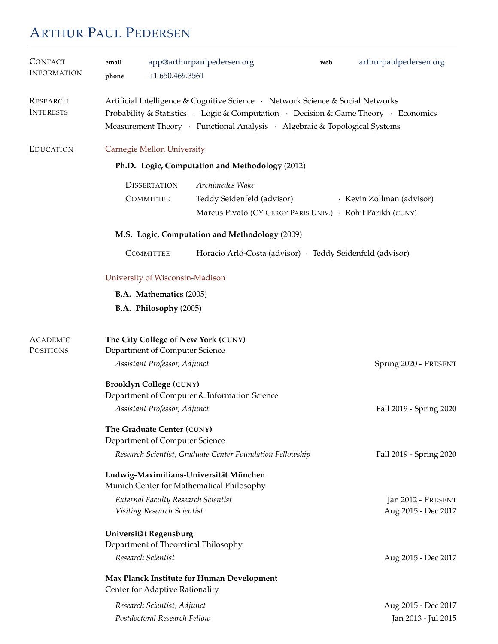# ARTHUR PAUL PEDERSEN

| <b>CONTACT</b><br><b>INFORMATION</b> | email<br>$+1650.469.3561$<br>phone                                                                                                                                          | app@arthurpaulpedersen.org                                                                                                                                                                                                                           | web | arthurpaulpedersen.org                     |  |
|--------------------------------------|-----------------------------------------------------------------------------------------------------------------------------------------------------------------------------|------------------------------------------------------------------------------------------------------------------------------------------------------------------------------------------------------------------------------------------------------|-----|--------------------------------------------|--|
| <b>RESEARCH</b><br><b>INTERESTS</b>  |                                                                                                                                                                             | Artificial Intelligence & Cognitive Science · Network Science & Social Networks<br>Probability & Statistics · Logic & Computation · Decision & Game Theory · Economics<br>Measurement Theory · Functional Analysis · Algebraic & Topological Systems |     |                                            |  |
| <b>EDUCATION</b>                     | Carnegie Mellon University                                                                                                                                                  |                                                                                                                                                                                                                                                      |     |                                            |  |
|                                      | Ph.D. Logic, Computation and Methodology (2012)                                                                                                                             |                                                                                                                                                                                                                                                      |     |                                            |  |
|                                      | <b>DISSERTATION</b><br><b>COMMITTEE</b>                                                                                                                                     | Archimedes Wake<br>Teddy Seidenfeld (advisor)<br>Marcus Pivato (CY CERGY PARIS UNIV.) · Rohit Parikh (CUNY)                                                                                                                                          |     | · Kevin Zollman (advisor)                  |  |
|                                      | M.S. Logic, Computation and Methodology (2009)                                                                                                                              |                                                                                                                                                                                                                                                      |     |                                            |  |
|                                      | <b>COMMITTEE</b>                                                                                                                                                            | Horacio Arló-Costa (advisor) · Teddy Seidenfeld (advisor)                                                                                                                                                                                            |     |                                            |  |
|                                      | University of Wisconsin-Madison<br><b>B.A. Mathematics (2005)</b><br>B.A. Philosophy (2005)                                                                                 |                                                                                                                                                                                                                                                      |     |                                            |  |
| <b>ACADEMIC</b><br>POSITIONS         | The City College of New York (CUNY)<br>Department of Computer Science<br>Assistant Professor, Adjunct                                                                       |                                                                                                                                                                                                                                                      |     | Spring 2020 - PRESENT                      |  |
|                                      | <b>Brooklyn College (CUNY)</b><br>Department of Computer & Information Science                                                                                              |                                                                                                                                                                                                                                                      |     |                                            |  |
|                                      | Assistant Professor, Adjunct                                                                                                                                                |                                                                                                                                                                                                                                                      |     | Fall 2019 - Spring 2020                    |  |
|                                      | The Graduate Center (CUNY)<br>Department of Computer Science                                                                                                                |                                                                                                                                                                                                                                                      |     |                                            |  |
|                                      | Research Scientist, Graduate Center Foundation Fellowship<br>Fall 2019 - Spring 2020<br>Ludwig-Maximilians-Universität München<br>Munich Center for Mathematical Philosophy |                                                                                                                                                                                                                                                      |     |                                            |  |
|                                      | <b>External Faculty Research Scientist</b><br>Visiting Research Scientist                                                                                                   |                                                                                                                                                                                                                                                      |     | Jan 2012 - PRESENT<br>Aug 2015 - Dec 2017  |  |
|                                      | Universität Regensburg<br>Department of Theoretical Philosophy                                                                                                              |                                                                                                                                                                                                                                                      |     |                                            |  |
|                                      | Research Scientist<br>Aug 2015 - Dec 2017<br>Max Planck Institute for Human Development<br>Center for Adaptive Rationality                                                  |                                                                                                                                                                                                                                                      |     |                                            |  |
|                                      | Research Scientist, Adjunct<br>Postdoctoral Research Fellow                                                                                                                 |                                                                                                                                                                                                                                                      |     | Aug 2015 - Dec 2017<br>Jan 2013 - Jul 2015 |  |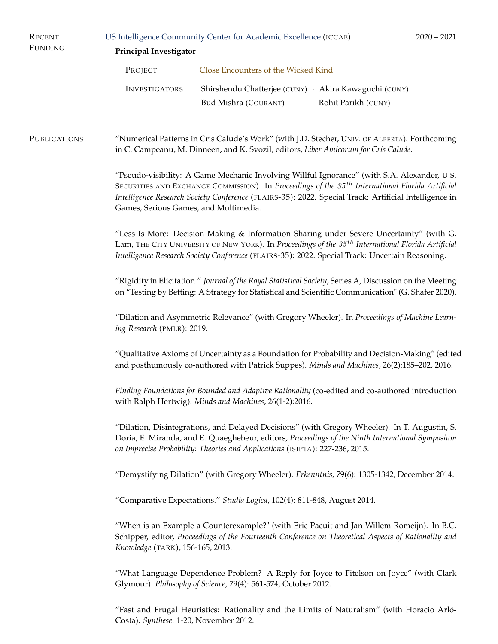| <b>RECENT</b><br><b>FUNDING</b> | US Intelligence Community Center for Academic Excellence (ICCAE)<br>Principal Investigator                                                                                                                                                                                                                                                             |                                                                                                                                                                                                                                                                                   |                       | $2020 - 2021$ |  |  |
|---------------------------------|--------------------------------------------------------------------------------------------------------------------------------------------------------------------------------------------------------------------------------------------------------------------------------------------------------------------------------------------------------|-----------------------------------------------------------------------------------------------------------------------------------------------------------------------------------------------------------------------------------------------------------------------------------|-----------------------|---------------|--|--|
|                                 | PROJECT                                                                                                                                                                                                                                                                                                                                                | Close Encounters of the Wicked Kind                                                                                                                                                                                                                                               |                       |               |  |  |
|                                 | <b>INVESTIGATORS</b>                                                                                                                                                                                                                                                                                                                                   | Shirshendu Chatterjee (CUNY) · Akira Kawaguchi (CUNY)<br>Bud Mishra (COURANT)                                                                                                                                                                                                     | · Rohit Parikh (CUNY) |               |  |  |
| <b>PUBLICATIONS</b>             | "Numerical Patterns in Cris Calude's Work" (with J.D. Stecher, UNIV. OF ALBERTA). Forthcoming<br>in C. Campeanu, M. Dinneen, and K. Svozil, editors, Liber Amicorum for Cris Calude.                                                                                                                                                                   |                                                                                                                                                                                                                                                                                   |                       |               |  |  |
|                                 | "Pseudo-visibility: A Game Mechanic Involving Willful Ignorance" (with S.A. Alexander, U.S.<br>SECURITIES AND EXCHANGE COMMISSION). In Proceedings of the $35^{th}$ International Florida Artificial<br>Intelligence Research Society Conference (FLAIRS-35): 2022. Special Track: Artificial Intelligence in<br>Games, Serious Games, and Multimedia. |                                                                                                                                                                                                                                                                                   |                       |               |  |  |
|                                 | "Less Is More: Decision Making & Information Sharing under Severe Uncertainty" (with G.<br>Lam, THE CITY UNIVERSITY OF NEW YORK). In Proceedings of the 35 <sup>th</sup> International Florida Artificial<br>Intelligence Research Society Conference (FLAIRS-35): 2022. Special Track: Uncertain Reasoning.                                           |                                                                                                                                                                                                                                                                                   |                       |               |  |  |
|                                 | "Rigidity in Elicitation." Journal of the Royal Statistical Society, Series A, Discussion on the Meeting<br>on "Testing by Betting: A Strategy for Statistical and Scientific Communication" (G. Shafer 2020).                                                                                                                                         |                                                                                                                                                                                                                                                                                   |                       |               |  |  |
|                                 | "Dilation and Asymmetric Relevance" (with Gregory Wheeler). In Proceedings of Machine Learn-<br>ing Research (PMLR): 2019.                                                                                                                                                                                                                             |                                                                                                                                                                                                                                                                                   |                       |               |  |  |
|                                 |                                                                                                                                                                                                                                                                                                                                                        | "Qualitative Axioms of Uncertainty as a Foundation for Probability and Decision-Making" (edited<br>and posthumously co-authored with Patrick Suppes). Minds and Machines, 26(2):185-202, 2016.                                                                                    |                       |               |  |  |
|                                 | Finding Foundations for Bounded and Adaptive Rationality (co-edited and co-authored introduction<br>with Ralph Hertwig). Minds and Machines, 26(1-2):2016.                                                                                                                                                                                             |                                                                                                                                                                                                                                                                                   |                       |               |  |  |
|                                 |                                                                                                                                                                                                                                                                                                                                                        | "Dilation, Disintegrations, and Delayed Decisions" (with Gregory Wheeler). In T. Augustin, S.<br>Doria, E. Miranda, and E. Quaeghebeur, editors, Proceedings of the Ninth International Symposium<br>on Imprecise Probability: Theories and Applications (ISIPTA): 227-236, 2015. |                       |               |  |  |
|                                 |                                                                                                                                                                                                                                                                                                                                                        | "Demystifying Dilation" (with Gregory Wheeler). Erkenntnis, 79(6): 1305-1342, December 2014.                                                                                                                                                                                      |                       |               |  |  |
|                                 | "Comparative Expectations." Studia Logica, 102(4): 811-848, August 2014.                                                                                                                                                                                                                                                                               |                                                                                                                                                                                                                                                                                   |                       |               |  |  |
|                                 | "When is an Example a Counterexample?" (with Eric Pacuit and Jan-Willem Romeijn). In B.C.<br>Schipper, editor, Proceedings of the Fourteenth Conference on Theoretical Aspects of Rationality and<br>Knowledge (TARK), 156-165, 2013.                                                                                                                  |                                                                                                                                                                                                                                                                                   |                       |               |  |  |
|                                 | "What Language Dependence Problem? A Reply for Joyce to Fitelson on Joyce" (with Clark<br>Glymour). Philosophy of Science, 79(4): 561-574, October 2012.                                                                                                                                                                                               |                                                                                                                                                                                                                                                                                   |                       |               |  |  |
|                                 |                                                                                                                                                                                                                                                                                                                                                        |                                                                                                                                                                                                                                                                                   |                       |               |  |  |

"Fast and Frugal Heuristics: Rationality and the Limits of Naturalism" (with Horacio Arló-Costa). *Synthese*: 1-20, November 2012.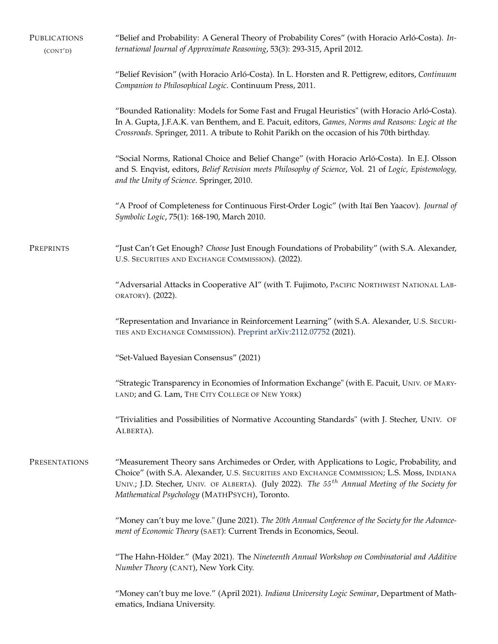| PUBLICATIONS<br>(CONT'D) | "Belief and Probability: A General Theory of Probability Cores" (with Horacio Arló-Costa). In-<br>ternational Journal of Approximate Reasoning, 53(3): 293-315, April 2012.                                                                                                                                                                             |  |
|--------------------------|---------------------------------------------------------------------------------------------------------------------------------------------------------------------------------------------------------------------------------------------------------------------------------------------------------------------------------------------------------|--|
|                          | "Belief Revision" (with Horacio Arló-Costa). In L. Horsten and R. Pettigrew, editors, Continuum<br>Companion to Philosophical Logic. Continuum Press, 2011.                                                                                                                                                                                             |  |
|                          | "Bounded Rationality: Models for Some Fast and Frugal Heuristics" (with Horacio Arló-Costa).<br>In A. Gupta, J.F.A.K. van Benthem, and E. Pacuit, editors, Games, Norms and Reasons: Logic at the<br>Crossroads. Springer, 2011. A tribute to Rohit Parikh on the occasion of his 70th birthday.                                                        |  |
|                          | "Social Norms, Rational Choice and Belief Change" (with Horacio Arló-Costa). In E.J. Olsson<br>and S. Enqvist, editors, Belief Revision meets Philosophy of Science, Vol. 21 of Logic, Epistemology,<br>and the Unity of Science. Springer, 2010.                                                                                                       |  |
|                          | "A Proof of Completeness for Continuous First-Order Logic" (with Itaï Ben Yaacov). Journal of<br>Symbolic Logic, 75(1): 168-190, March 2010.                                                                                                                                                                                                            |  |
| PREPRINTS                | "Just Can't Get Enough? Choose Just Enough Foundations of Probability" (with S.A. Alexander,<br>U.S. SECURITIES AND EXCHANGE COMMISSION). (2022).                                                                                                                                                                                                       |  |
|                          | "Adversarial Attacks in Cooperative AI" (with T. Fujimoto, PACIFIC NORTHWEST NATIONAL LAB-<br>ORATORY). (2022).                                                                                                                                                                                                                                         |  |
|                          | "Representation and Invariance in Reinforcement Learning" (with S.A. Alexander, U.S. SECURI-<br>TIES AND EXCHANGE COMMISSION). Preprint arXiv:2112.07752 (2021).                                                                                                                                                                                        |  |
|                          | "Set-Valued Bayesian Consensus" (2021)                                                                                                                                                                                                                                                                                                                  |  |
|                          | "Strategic Transparency in Economies of Information Exchange" (with E. Pacuit, UNIV. OF MARY-<br>LAND; and G. Lam, THE CITY COLLEGE OF NEW YORK)                                                                                                                                                                                                        |  |
|                          | "Trivialities and Possibilities of Normative Accounting Standards" (with J. Stecher, UNIV. OF<br>ALBERTA).                                                                                                                                                                                                                                              |  |
| PRESENTATIONS            | "Measurement Theory sans Archimedes or Order, with Applications to Logic, Probability, and<br>Choice" (with S.A. Alexander, U.S. SECURITIES AND EXCHANGE COMMISSION; L.S. Moss, INDIANA<br>UNIV.; J.D. Stecher, UNIV. OF ALBERTA). (July 2022). The 55 <sup>th</sup> Annual Meeting of the Society for<br>Mathematical Psychology (MATHPSYCH), Toronto. |  |
|                          | "Money can't buy me love." (June 2021). The 20th Annual Conference of the Society for the Advance-<br>ment of Economic Theory (SAET): Current Trends in Economics, Seoul.                                                                                                                                                                               |  |
|                          | "The Hahn-Hölder." (May 2021). The Nineteenth Annual Workshop on Combinatorial and Additive<br>Number Theory (CANT), New York City.                                                                                                                                                                                                                     |  |
|                          | "Money can't buy me love." (April 2021). Indiana University Logic Seminar, Department of Math-<br>ematics, Indiana University.                                                                                                                                                                                                                          |  |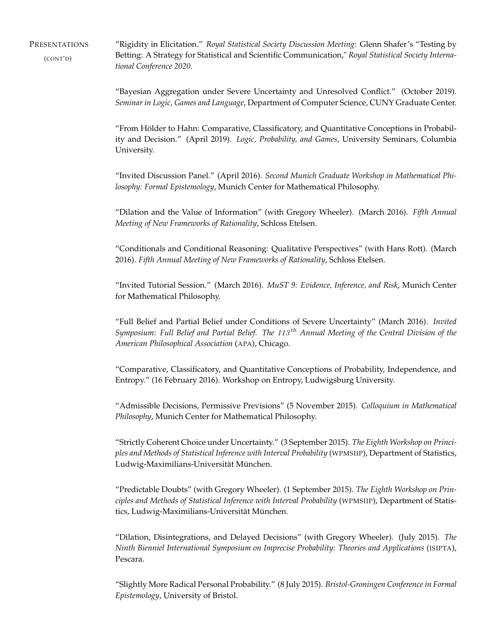PRESENTATIONS (CONT'D) "Rigidity in Elicitation." *Royal Statistical Society Discussion Meeting*: Glenn Shafer's "Testing by Betting: A Strategy for Statistical and Scientific Communication," *Royal Statistical Society International Conference 2020*.

> "Bayesian Aggregation under Severe Uncertainty and Unresolved Conflict." (October 2019). *Seminar in Logic, Games and Language*, Department of Computer Science, CUNY Graduate Center.

> "From Hölder to Hahn: Comparative, Classificatory, and Quantitative Conceptions in Probability and Decision." (April 2019). *Logic, Probability, and Games*, University Seminars, Columbia University.

> "Invited Discussion Panel." (April 2016). *Second Munich Graduate Workshop in Mathematical Philosophy: Formal Epistemology*, Munich Center for Mathematical Philosophy.

> "Dilation and the Value of Information" (with Gregory Wheeler). (March 2016). *Fifth Annual Meeting of New Frameworks of Rationality*, Schloss Etelsen.

> "Conditionals and Conditional Reasoning: Qualitative Perspectives" (with Hans Rott). (March 2016). *Fifth Annual Meeting of New Frameworks of Rationality*, Schloss Etelsen.

> "Invited Tutorial Session." (March 2016). *MuST 9: Evidence, Inference, and Risk*, Munich Center for Mathematical Philosophy.

> "Full Belief and Partial Belief under Conditions of Severe Uncertainty" (March 2016). *Invited Symposium*: *Full Belief and Partial Belief. The* 113 th *Annual Meeting of the Central Division of the American Philosophical Association* (APA), Chicago.

> "Comparative, Classificatory, and Quantitative Conceptions of Probability, Independence, and Entropy." (16 February 2016). Workshop on Entropy, Ludwigsburg University.

> "Admissible Decisions, Permissive Previsions" (5 November 2015). *Colloquium in Mathematical Philosophy*, Munich Center for Mathematical Philosophy.

> "Strictly Coherent Choice under Uncertainty." (3 September 2015). *The Eighth Workshop on Principles and Methods of Statistical Inference with Interval Probability* (WPMSIIP), Department of Statistics, Ludwig-Maximilians-Universität München.

> "Predictable Doubts" (with Gregory Wheeler). (1 September 2015). *The Eighth Workshop on Principles and Methods of Statistical Inference with Interval Probability* (WPMSIIP), Department of Statistics, Ludwig-Maximilians-Universität München.

> "Dilation, Disintegrations, and Delayed Decisions" (with Gregory Wheeler). (July 2015). *The Ninth Bienniel International Symposium on Imprecise Probability: Theories and Applications* (ISIPTA), Pescara.

> "Slightly More Radical Personal Probability." (8 July 2015). *Bristol-Groningen Conference in Formal Epistemology*, University of Bristol.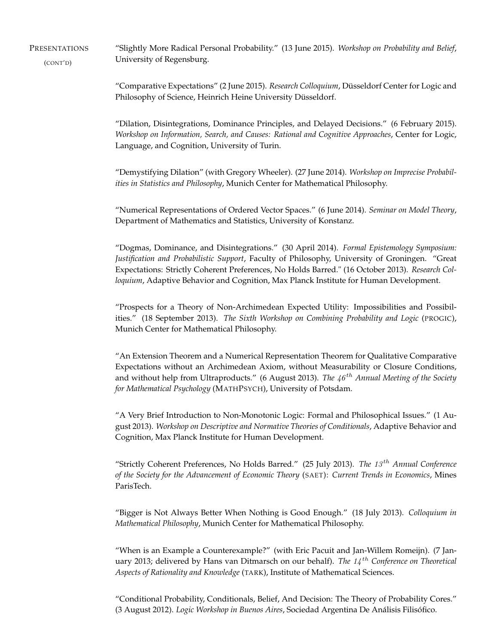PRESENTATIONS (CONT'D) "Slightly More Radical Personal Probability." (13 June 2015). *Workshop on Probability and Belief*, University of Regensburg.

> "Comparative Expectations" (2 June 2015). *Research Colloquium*, Düsseldorf Center for Logic and Philosophy of Science, Heinrich Heine University Düsseldorf.

> "Dilation, Disintegrations, Dominance Principles, and Delayed Decisions." (6 February 2015). *Workshop on Information, Search, and Causes: Rational and Cognitive Approaches*, Center for Logic, Language, and Cognition, University of Turin.

> "Demystifying Dilation" (with Gregory Wheeler). (27 June 2014). *Workshop on Imprecise Probabilities in Statistics and Philosophy*, Munich Center for Mathematical Philosophy.

> "Numerical Representations of Ordered Vector Spaces." (6 June 2014). *Seminar on Model Theory*, Department of Mathematics and Statistics, University of Konstanz.

> "Dogmas, Dominance, and Disintegrations." (30 April 2014). *Formal Epistemology Symposium: Justification and Probabilistic Support*, Faculty of Philosophy, University of Groningen. "Great Expectations: Strictly Coherent Preferences, No Holds Barred." (16 October 2013). *Research Colloquium*, Adaptive Behavior and Cognition, Max Planck Institute for Human Development.

> "Prospects for a Theory of Non-Archimedean Expected Utility: Impossibilities and Possibilities." (18 September 2013). *The Sixth Workshop on Combining Probability and Logic* (PROGIC), Munich Center for Mathematical Philosophy.

> "An Extension Theorem and a Numerical Representation Theorem for Qualitative Comparative Expectations without an Archimedean Axiom, without Measurability or Closure Conditions, and without help from Ultraproducts." (6 August 2013). *The 46<sup>th</sup> Annual Meeting of the Society for Mathematical Psychology* (MATHPSYCH), University of Potsdam.

> "A Very Brief Introduction to Non-Monotonic Logic: Formal and Philosophical Issues." (1 August 2013). *Workshop on Descriptive and Normative Theories of Conditionals*, Adaptive Behavior and Cognition, Max Planck Institute for Human Development.

> "Strictly Coherent Preferences, No Holds Barred." (25 July 2013). *The* 13 th *Annual Conference of the Society for the Advancement of Economic Theory* (SAET): *Current Trends in Economics*, Mines ParisTech.

> "Bigger is Not Always Better When Nothing is Good Enough." (18 July 2013). *Colloquium in Mathematical Philosophy*, Munich Center for Mathematical Philosophy.

> "When is an Example a Counterexample?" (with Eric Pacuit and Jan-Willem Romeijn). (7 January 2013; delivered by Hans van Ditmarsch on our behalf). *The* 14 th *Conference on Theoretical Aspects of Rationality and Knowledge* (TARK), Institute of Mathematical Sciences.

> "Conditional Probability, Conditionals, Belief, And Decision: The Theory of Probability Cores." (3 August 2012). *Logic Workshop in Buenos Aires*, Sociedad Argentina De Análisis Filisófico.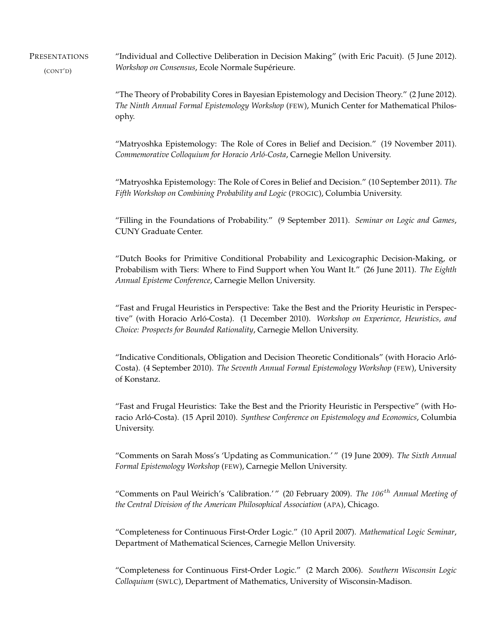**PRESENTATIONS** (CONT'D)

"Individual and Collective Deliberation in Decision Making" (with Eric Pacuit). (5 June 2012). *Workshop on Consensus*, Ecole Normale Supérieure.

"The Theory of Probability Cores in Bayesian Epistemology and Decision Theory." (2 June 2012). *The Ninth Annual Formal Epistemology Workshop* (FEW), Munich Center for Mathematical Philosophy.

"Matryoshka Epistemology: The Role of Cores in Belief and Decision." (19 November 2011). *Commemorative Colloquium for Horacio Arló-Costa*, Carnegie Mellon University.

"Matryoshka Epistemology: The Role of Cores in Belief and Decision." (10 September 2011). *The Fifth Workshop on Combining Probability and Logic* (PROGIC), Columbia University.

"Filling in the Foundations of Probability." (9 September 2011). *Seminar on Logic and Games*, CUNY Graduate Center.

"Dutch Books for Primitive Conditional Probability and Lexicographic Decision-Making, or Probabilism with Tiers: Where to Find Support when You Want It." (26 June 2011). *The Eighth Annual Episteme Conference*, Carnegie Mellon University.

"Fast and Frugal Heuristics in Perspective: Take the Best and the Priority Heuristic in Perspective" (with Horacio Arló-Costa). (1 December 2010). *Workshop on Experience, Heuristics, and Choice: Prospects for Bounded Rationality*, Carnegie Mellon University.

"Indicative Conditionals, Obligation and Decision Theoretic Conditionals" (with Horacio Arló-Costa). (4 September 2010). *The Seventh Annual Formal Epistemology Workshop* (FEW), University of Konstanz.

"Fast and Frugal Heuristics: Take the Best and the Priority Heuristic in Perspective" (with Horacio Arló-Costa). (15 April 2010). *Synthese Conference on Epistemology and Economics*, Columbia University.

"Comments on Sarah Moss's 'Updating as Communication.' " (19 June 2009). *The Sixth Annual Formal Epistemology Workshop* (FEW), Carnegie Mellon University.

"Comments on Paul Weirich's 'Calibration.' " (20 February 2009). *The* 106 th *Annual Meeting of the Central Division of the American Philosophical Association* (APA), Chicago.

"Completeness for Continuous First-Order Logic." (10 April 2007). *Mathematical Logic Seminar*, Department of Mathematical Sciences, Carnegie Mellon University.

"Completeness for Continuous First-Order Logic." (2 March 2006). *Southern Wisconsin Logic Colloquium* (SWLC), Department of Mathematics, University of Wisconsin-Madison.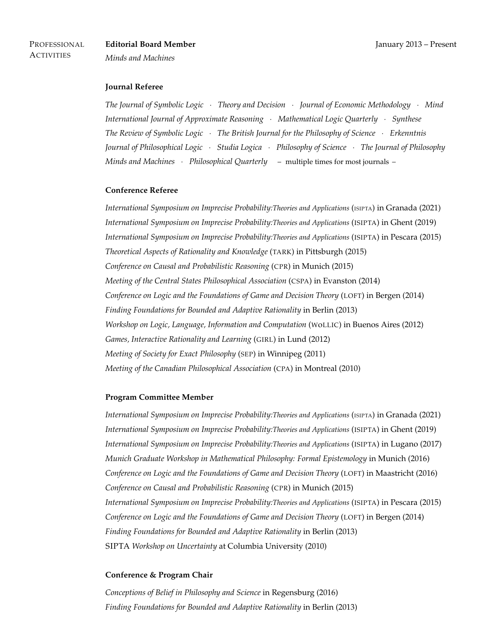*Minds and Machines*

## **Journal Referee**

*The Journal of Symbolic Logic* · *Theory and Decision* · *Journal of Economic Methodology* · *Mind International Journal of Approximate Reasoning* · *Mathematical Logic Quarterly* · *Synthese The Review of Symbolic Logic* · *The British Journal for the Philosophy of Science* · *Erkenntnis Journal of Philosophical Logic* · *Studia Logica* · *Philosophy of Science* · *The Journal of Philosophy Minds and Machines* · *Philosophical Quarterly* – multiple times for most journals –

### **Conference Referee**

*International Symposium on Imprecise Probability:Theories and Applications* (ISIPTA) in Granada (2021) *International Symposium on Imprecise Probability:Theories and Applications* (ISIPTA) in Ghent (2019) *International Symposium on Imprecise Probability:Theories and Applications* (ISIPTA) in Pescara (2015) *Theoretical Aspects of Rationality and Knowledge* (TARK) in Pittsburgh (2015) *Conference on Causal and Probabilistic Reasoning* (CPR) in Munich (2015) *Meeting of the Central States Philosophical Association* (CSPA) in Evanston (2014) *Conference on Logic and the Foundations of Game and Decision Theory* (LOFT) in Bergen (2014) *Finding Foundations for Bounded and Adaptive Rationality* in Berlin (2013) *Workshop on Logic, Language, Information and Computation* (WoLLIC) in Buenos Aires (2012) *Games, Interactive Rationality and Learning* (GIRL) in Lund (2012) *Meeting of Society for Exact Philosophy* (SEP) in Winnipeg (2011) *Meeting of the Canadian Philosophical Association* (CPA) in Montreal (2010)

#### **Program Committee Member**

*International Symposium on Imprecise Probability:Theories and Applications* (ISIPTA) in Granada (2021) *International Symposium on Imprecise Probability:Theories and Applications* (ISIPTA) in Ghent (2019) *International Symposium on Imprecise Probability:Theories and Applications* (ISIPTA) in Lugano (2017) *Munich Graduate Workshop in Mathematical Philosophy: Formal Epistemology* in Munich (2016) *Conference on Logic and the Foundations of Game and Decision Theory* (LOFT) in Maastricht (2016) *Conference on Causal and Probabilistic Reasoning* (CPR) in Munich (2015) *International Symposium on Imprecise Probability:Theories and Applications* (ISIPTA) in Pescara (2015) *Conference on Logic and the Foundations of Game and Decision Theory* (LOFT) in Bergen (2014) *Finding Foundations for Bounded and Adaptive Rationality* in Berlin (2013) SIPTA *Workshop on Uncertainty* at Columbia University (2010)

## **Conference & Program Chair**

*Conceptions of Belief in Philosophy and Science* in Regensburg (2016) *Finding Foundations for Bounded and Adaptive Rationality* in Berlin (2013)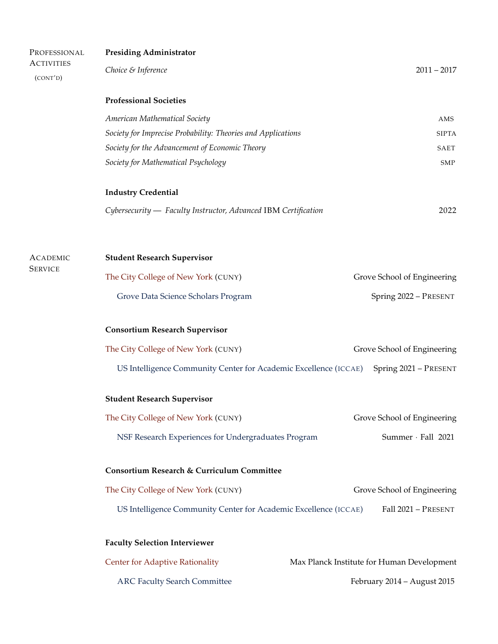| PROFESSIONAL<br><b>ACTIVITIES</b> | <b>Presiding Administrator</b>                                   |                                            |  |  |
|-----------------------------------|------------------------------------------------------------------|--------------------------------------------|--|--|
| (CONT'D)                          | Choice & Inference                                               | $2011 - 2017$                              |  |  |
|                                   | <b>Professional Societies</b>                                    |                                            |  |  |
|                                   | American Mathematical Society                                    | AMS                                        |  |  |
|                                   | Society for Imprecise Probability: Theories and Applications     | <b>SIPTA</b>                               |  |  |
|                                   | Society for the Advancement of Economic Theory                   | SAET                                       |  |  |
|                                   | Society for Mathematical Psychology                              | <b>SMP</b>                                 |  |  |
|                                   | <b>Industry Credential</b>                                       |                                            |  |  |
|                                   | Cybersecurity - Faculty Instructor, Advanced IBM Certification   | 2022                                       |  |  |
|                                   |                                                                  |                                            |  |  |
| <b>ACADEMIC</b><br><b>SERVICE</b> | <b>Student Research Supervisor</b>                               |                                            |  |  |
|                                   | The City College of New York (CUNY)                              | Grove School of Engineering                |  |  |
|                                   | Grove Data Science Scholars Program                              | Spring 2022 - PRESENT                      |  |  |
|                                   | <b>Consortium Research Supervisor</b>                            |                                            |  |  |
|                                   | The City College of New York (CUNY)                              | Grove School of Engineering                |  |  |
|                                   | US Intelligence Community Center for Academic Excellence (ICCAE) | Spring 2021 - PRESENT                      |  |  |
|                                   | <b>Student Research Supervisor</b>                               |                                            |  |  |
|                                   | The City College of New York (CUNY)                              | Grove School of Engineering                |  |  |
|                                   | NSF Research Experiences for Undergraduates Program              | Summer · Fall 2021                         |  |  |
|                                   | <b>Consortium Research &amp; Curriculum Committee</b>            |                                            |  |  |
|                                   | The City College of New York (CUNY)                              | Grove School of Engineering                |  |  |
|                                   | US Intelligence Community Center for Academic Excellence (ICCAE) | Fall 2021 - PRESENT                        |  |  |
|                                   | <b>Faculty Selection Interviewer</b>                             |                                            |  |  |
|                                   | <b>Center for Adaptive Rationality</b>                           | Max Planck Institute for Human Development |  |  |
|                                   |                                                                  |                                            |  |  |

ARC Faculty Search Committee February 2014 – August 2015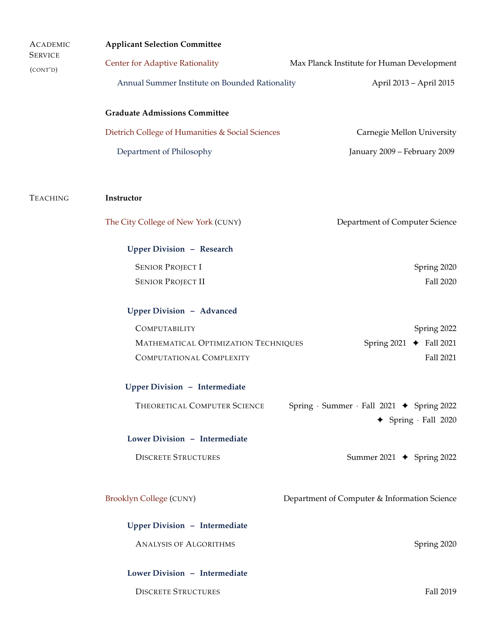| <b>ACADEMIC</b>            | <b>Applicant Selection Committee</b>                                                 |                                                                                 |  |  |
|----------------------------|--------------------------------------------------------------------------------------|---------------------------------------------------------------------------------|--|--|
| <b>SERVICE</b><br>(CONT'D) | <b>Center for Adaptive Rationality</b><br>Max Planck Institute for Human Development |                                                                                 |  |  |
|                            | Annual Summer Institute on Bounded Rationality                                       | April 2013 - April 2015                                                         |  |  |
|                            | <b>Graduate Admissions Committee</b>                                                 |                                                                                 |  |  |
|                            | Dietrich College of Humanities & Social Sciences                                     | Carnegie Mellon University                                                      |  |  |
|                            | Department of Philosophy                                                             | January 2009 - February 2009                                                    |  |  |
| <b>TEACHING</b>            | Instructor                                                                           |                                                                                 |  |  |
|                            | The City College of New York (CUNY)                                                  | Department of Computer Science                                                  |  |  |
|                            | <b>Upper Division - Research</b>                                                     |                                                                                 |  |  |
|                            | <b>SENIOR PROJECT I</b>                                                              | Spring 2020                                                                     |  |  |
|                            | <b>SENIOR PROJECT II</b>                                                             | Fall 2020                                                                       |  |  |
|                            | <b>Upper Division - Advanced</b>                                                     |                                                                                 |  |  |
|                            | COMPUTABILITY                                                                        | Spring 2022                                                                     |  |  |
|                            | MATHEMATICAL OPTIMIZATION TECHNIQUES<br>COMPUTATIONAL COMPLEXITY                     | Spring $2021 \rightarrow$ Fall 2021<br>Fall 2021                                |  |  |
|                            | <b>Upper Division - Intermediate</b>                                                 |                                                                                 |  |  |
|                            | THEORETICAL COMPUTER SCIENCE                                                         | Spring · Summer · Fall 2021 → Spring 2022<br>$\triangleleft$ Spring · Fall 2020 |  |  |
|                            | Lower Division - Intermediate                                                        |                                                                                 |  |  |
|                            | <b>DISCRETE STRUCTURES</b>                                                           | Summer 2021 $\rightarrow$ Spring 2022                                           |  |  |
|                            | <b>Brooklyn College (CUNY)</b>                                                       | Department of Computer & Information Science                                    |  |  |
|                            | <b>Upper Division - Intermediate</b>                                                 |                                                                                 |  |  |
|                            | <b>ANALYSIS OF ALGORITHMS</b>                                                        | Spring 2020                                                                     |  |  |
|                            | Lower Division - Intermediate                                                        |                                                                                 |  |  |
|                            | <b>DISCRETE STRUCTURES</b>                                                           | Fall 2019                                                                       |  |  |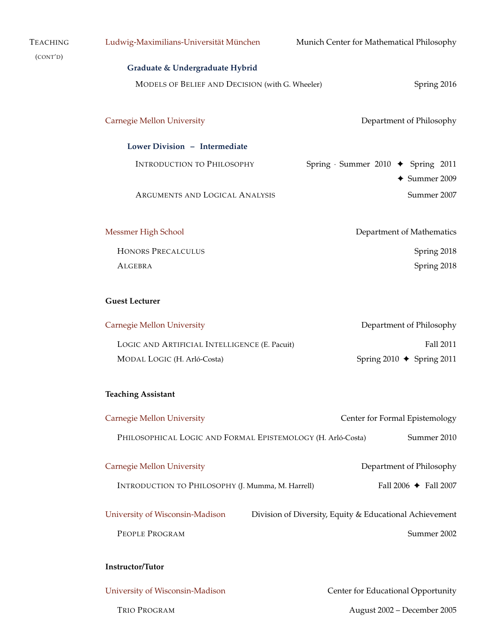| <b>TEACHING</b> | Ludwig-Maximilians-Universität München                                                     | Munich Center for Mathematical Philosophy                                             |  |  |  |
|-----------------|--------------------------------------------------------------------------------------------|---------------------------------------------------------------------------------------|--|--|--|
| (CONT'D)        | Graduate & Undergraduate Hybrid                                                            |                                                                                       |  |  |  |
|                 |                                                                                            | MODELS OF BELIEF AND DECISION (with G. Wheeler)<br>Spring 2016                        |  |  |  |
|                 | <b>Carnegie Mellon University</b>                                                          | Department of Philosophy                                                              |  |  |  |
|                 | Lower Division - Intermediate                                                              |                                                                                       |  |  |  |
|                 | <b>INTRODUCTION TO PHILOSOPHY</b>                                                          | Spring $\cdot$ Summer 2010 $\blacklozenge$ Spring 2011<br>$\triangleleft$ Summer 2009 |  |  |  |
|                 | ARGUMENTS AND LOGICAL ANALYSIS                                                             | Summer 2007                                                                           |  |  |  |
|                 | Messmer High School                                                                        | Department of Mathematics                                                             |  |  |  |
|                 | <b>HONORS PRECALCULUS</b>                                                                  | Spring 2018                                                                           |  |  |  |
|                 | <b>ALGEBRA</b>                                                                             | Spring 2018                                                                           |  |  |  |
|                 | <b>Guest Lecturer</b>                                                                      |                                                                                       |  |  |  |
|                 | Carnegie Mellon University                                                                 | Department of Philosophy                                                              |  |  |  |
|                 | LOGIC AND ARTIFICIAL INTELLIGENCE (E. Pacuit)                                              | Fall 2011                                                                             |  |  |  |
|                 | MODAL LOGIC (H. Arló-Costa)                                                                | Spring 2010 $\triangle$ Spring 2011                                                   |  |  |  |
|                 | <b>Teaching Assistant</b>                                                                  |                                                                                       |  |  |  |
|                 | <b>Carnegie Mellon University</b>                                                          | Center for Formal Epistemology                                                        |  |  |  |
|                 | PHILOSOPHICAL LOGIC AND FORMAL EPISTEMOLOGY (H. Arló-Costa)                                | Summer 2010                                                                           |  |  |  |
|                 | <b>Carnegie Mellon University</b>                                                          | Department of Philosophy                                                              |  |  |  |
|                 | INTRODUCTION TO PHILOSOPHY (J. Mumma, M. Harrell)                                          | Fall 2006 $\blacklozenge$ Fall 2007                                                   |  |  |  |
|                 | University of Wisconsin-Madison<br>Division of Diversity, Equity & Educational Achievement |                                                                                       |  |  |  |
|                 | PEOPLE PROGRAM                                                                             | Summer 2002                                                                           |  |  |  |
|                 | Instructor/Tutor                                                                           |                                                                                       |  |  |  |
|                 |                                                                                            |                                                                                       |  |  |  |
|                 | University of Wisconsin-Madison                                                            | Center for Educational Opportunity                                                    |  |  |  |
|                 | TRIO PROGRAM                                                                               | August 2002 - December 2005                                                           |  |  |  |